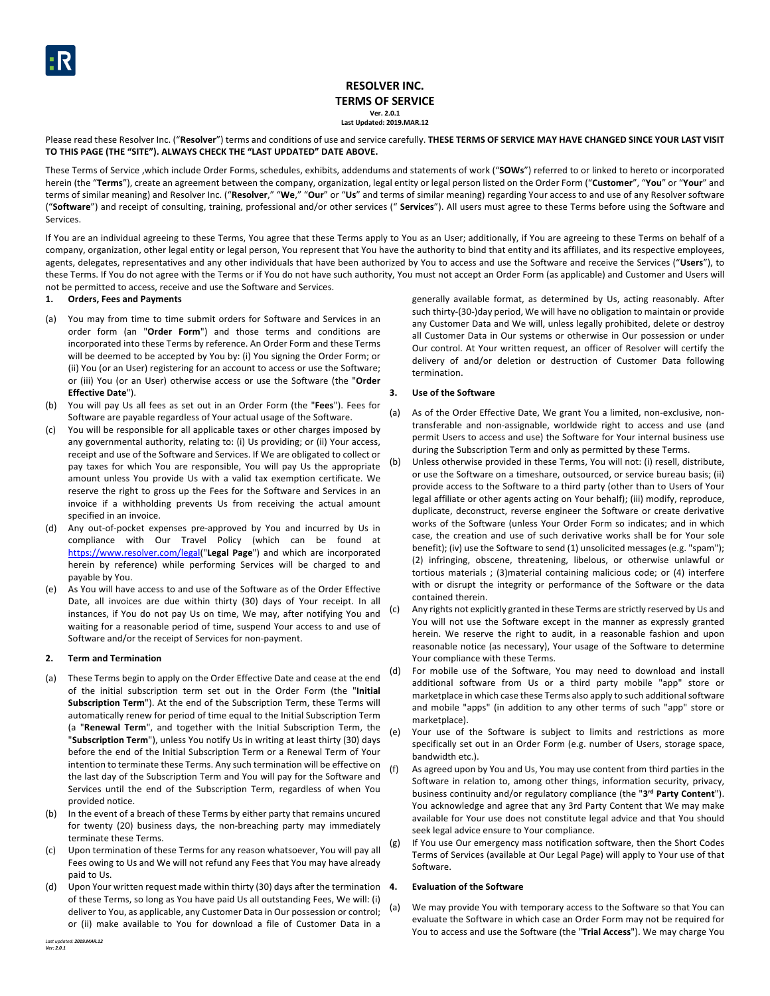

# **RESOLVER INC. TERMS OF SERVICE Ver. 2.0.1 Last Updated: 2019.MAR.12**

Please read these Resolver Inc. ("Resolver") terms and conditions of use and service carefully. THESE TERMS OF SERVICE MAY HAVE CHANGED SINCE YOUR LAST VISIT **TO THIS PAGE (THE "SITE"). ALWAYS CHECK THE "LAST UPDATED" DATE ABOVE.**

These Terms of Service ,which include Order Forms, schedules, exhibits, addendums and statements of work ("**SOWs**") referred to or linked to hereto or incorporated herein (the "**Terms**"), create an agreement between the company, organization, legal entity or legal person listed on the Order Form ("**Customer**", "**You**" or "**Your**" and terms of similar meaning) and Resolver Inc. ("**Resolver**," "**We**," "**Our**" or "**Us**" and terms of similar meaning) regarding Your access to and use of any Resolver software ("**Software**") and receipt of consulting, training, professional and/or other services (" **Services**"). All users must agree to these Terms before using the Software and Services.

If You are an individual agreeing to these Terms, You agree that these Terms apply to You as an User; additionally, if You are agreeing to these Terms on behalf of a company, organization, other legal entity or legal person, You represent that You have the authority to bind that entity and its affiliates, and its respective employees, agents, delegates, representatives and any other individuals that have been authorized by You to access and use the Software and receive the Services ("**Users**"), to these Terms. If You do not agree with the Terms or if You do not have such authority, You must not accept an Order Form (as applicable) and Customer and Users will not be permitted to access, receive and use the Software and Services.

#### **1. Orders, Fees and Payments**

- (a) You may from time to time submit orders for Software and Services in an order form (an "**Order Form**") and those terms and conditions are incorporated into these Terms by reference. An Order Form and these Terms will be deemed to be accepted by You by: (i) You signing the Order Form; or (ii) You (or an User) registering for an account to access or use the Software; or (iii) You (or an User) otherwise access or use the Software (the "**Order Effective Date**").
- (b) You will pay Us all fees as set out in an Order Form (the "**Fees**"). Fees for Software are payable regardless of Your actual usage of the Software.
- (c) You will be responsible for all applicable taxes or other charges imposed by any governmental authority, relating to: (i) Us providing; or (ii) Your access, receipt and use of the Software and Services. If We are obligated to collect or pay taxes for which You are responsible, You will pay Us the appropriate amount unless You provide Us with a valid tax exemption certificate. We reserve the right to gross up the Fees for the Software and Services in an invoice if a withholding prevents Us from receiving the actual amount specified in an invoice.
- (d) Any out-of-pocket expenses pre-approved by You and incurred by Us in compliance with Our Travel Policy (which can be found at <https://www.resolver.com/legal>("**Legal Page**") and which are incorporated herein by reference) while performing Services will be charged to and payable by You.
- (e) As You will have access to and use of the Software as of the Order Effective Date, all invoices are due within thirty (30) days of Your receipt. In all instances, if You do not pay Us on time, We may, after notifying You and <sup>(c)</sup> waiting for a reasonable period of time, suspend Your access to and use of Software and/or the receipt of Services for non-payment.

#### **2. Term and Termination**

- (a) These Terms begin to apply on the Order Effective Date and cease at the end of the initial subscription term set out in the Order Form (the "**Initial Subscription Term**"). At the end of the Subscription Term, these Terms will automatically renew for period of time equal to the Initial Subscription Term (a "**Renewal Term**", and together with the Initial Subscription Term, the "**Subscription Term**"), unless You notify Us in writing at least thirty (30) days before the end of the Initial Subscription Term or a Renewal Term of Your intention to terminate these Terms. Any such termination will be effective on the last day of the Subscription Term and You will pay for the Software and Services until the end of the Subscription Term, regardless of when You provided notice.
- (b) In the event of a breach of these Terms by either party that remains uncured for twenty (20) business days, the non-breaching party may immediately terminate these Terms.
- (c) Upon termination of these Terms for any reason whatsoever, You will pay all Fees owing to Us and We will not refund any Fees that You may have already paid to Us.
- (d) Upon Your written request made within thirty (30) days after the termination 4. of these Terms, so long as You have paid Us all outstanding Fees, We will: (i) deliver to You, as applicable, any Customer Data in Our possession or control; or (ii) make available to You for download a file of Customer Data in a

generally available format, as determined by Us, acting reasonably. After such thirty-(30-)day period, We will have no obligation to maintain or provide any Customer Data and We will, unless legally prohibited, delete or destroy all Customer Data in Our systems or otherwise in Our possession or under Our control. At Your written request, an officer of Resolver will certify the delivery of and/or deletion or destruction of Customer Data following termination.

## **3. Use of the Software**

- (a) As of the Order Effective Date, We grant You a limited, non-exclusive, nontransferable and non-assignable, worldwide right to access and use (and permit Users to access and use) the Software for Your internal business use during the Subscription Term and only as permitted by these Terms.
- (b) Unless otherwise provided in these Terms, You will not: (i) resell, distribute, or use the Software on a timeshare, outsourced, or service bureau basis; (ii) provide access to the Software to a third party (other than to Users of Your legal affiliate or other agents acting on Your behalf); (iii) modify, reproduce, duplicate, deconstruct, reverse engineer the Software or create derivative works of the Software (unless Your Order Form so indicates; and in which case, the creation and use of such derivative works shall be for Your sole benefit); (iv) use the Software to send (1) unsolicited messages (e.g. "spam"); (2) infringing, obscene, threatening, libelous, or otherwise unlawful or tortious materials ; (3)material containing malicious code; or (4) interfere with or disrupt the integrity or performance of the Software or the data contained therein.
- Any rights not explicitly granted in these Terms are strictly reserved by Us and You will not use the Software except in the manner as expressly granted herein. We reserve the right to audit, in a reasonable fashion and upon reasonable notice (as necessary), Your usage of the Software to determine Your compliance with these Terms.
- (d) For mobile use of the Software, You may need to download and install additional software from Us or a third party mobile "app" store or marketplace in which case these Terms also apply to such additional software and mobile "apps" (in addition to any other terms of such "app" store or marketplace).
- (e) Your use of the Software is subject to limits and restrictions as more specifically set out in an Order Form (e.g. number of Users, storage space, bandwidth etc.).
- (f) As agreed upon by You and Us, You may use content from third parties in the Software in relation to, among other things, information security, privacy, business continuity and/or regulatory compliance (the "**3rd Party Content**"). You acknowledge and agree that any 3rd Party Content that We may make available for Your use does not constitute legal advice and that You should seek legal advice ensure to Your compliance.
- (g) If You use Our emergency mass notification software, then the Short Codes Terms of Services (available at Our Legal Page) will apply to Your use of that Software.

# **4. Evaluation of the Software**

(a) We may provide You with temporary access to the Software so that You can evaluate the Software in which case an Order Form may not be required for You to access and use the Software (the "**Trial Access**"). We may charge You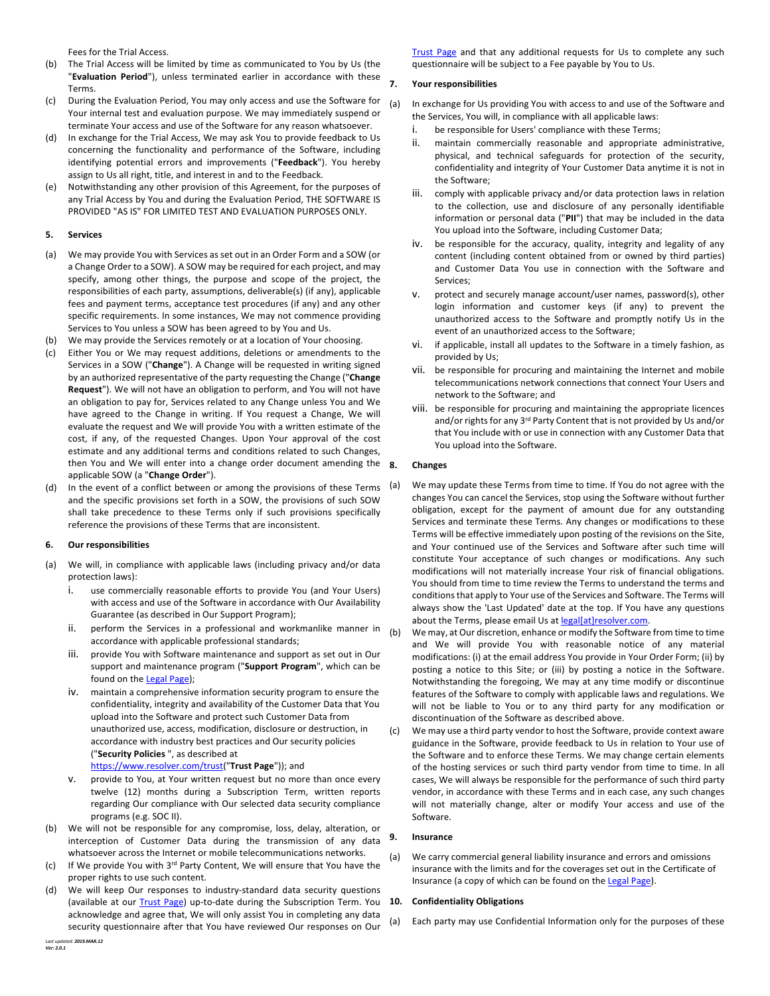Fees for the Trial Access.

- (b) The Trial Access will be limited by time as communicated to You by Us (the "**Evaluation Period**"), unless terminated earlier in accordance with these Terms.
- (c) During the Evaluation Period, You may only access and use the Software for Your internal test and evaluation purpose. We may immediately suspend or terminate Your access and use of the Software for any reason whatsoever.
- (d) In exchange for the Trial Access, We may ask You to provide feedback to Us concerning the functionality and performance of the Software, including identifying potential errors and improvements ("**Feedback**"). You hereby assign to Us all right, title, and interest in and to the Feedback.
- (e) Notwithstanding any other provision of this Agreement, for the purposes of any Trial Access by You and during the Evaluation Period, THE SOFTWARE IS PROVIDED "AS IS" FOR LIMITED TEST AND EVALUATION PURPOSES ONLY.

## **5. Services**

- (a) We may provide You with Services as set out in an Order Form and a SOW (or a Change Order to a SOW). A SOW may be required for each project, and may specify, among other things, the purpose and scope of the project, the responsibilities of each party, assumptions, deliverable(s) (if any), applicable fees and payment terms, acceptance test procedures (if any) and any other specific requirements. In some instances, We may not commence providing Services to You unless a SOW has been agreed to by You and Us.
- (b) We may provide the Services remotely or at a location of Your choosing.
- (c) Either You or We may request additions, deletions or amendments to the Services in a SOW ("**Change**"). A Change will be requested in writing signed by an authorized representative of the party requesting the Change ("**Change Request**"). We will not have an obligation to perform, and You will not have an obligation to pay for, Services related to any Change unless You and We have agreed to the Change in writing. If You request a Change, We will evaluate the request and We will provide You with a written estimate of the cost, if any, of the requested Changes. Upon Your approval of the cost estimate and any additional terms and conditions related to such Changes, then You and We will enter into a change order document amending the 8. applicable SOW (a "**Change Order**").
- (d) In the event of a conflict between or among the provisions of these Terms  $(a)$ and the specific provisions set forth in a SOW, the provisions of such SOW shall take precedence to these Terms only if such provisions specifically reference the provisions of these Terms that are inconsistent.

## **6. Our responsibilities**

- (a) We will, in compliance with applicable laws (including privacy and/or data protection laws):
	- i. use commercially reasonable efforts to provide You (and Your Users) with access and use of the Software in accordance with Our Availability Guarantee (as described in Our Support Program);
	- ii. perform the Services in a professional and workmanlike manner in accordance with applicable professional standards;
	- iii. provide You with Software maintenance and support as set out in Our support and maintenance program ("**Support Program**", which can be found on the [Legal Page](https://www.resolver.com/legal/));
	- iv. maintain a comprehensive information security program to ensure the confidentiality, integrity and availability of the Customer Data that You upload into the Software and protect such Customer Data from unauthorized use, access, modification, disclosure or destruction, in accordance with industry best practices and Our security policies ("**Security Policies** ", as described at [https://www.resolver.com/trust](https://www.resolver.com/trust/)("**Trust Page**")); and
	- provide to You, at Your written request but no more than once every twelve (12) months during a Subscription Term, written reports regarding Our compliance with Our selected data security compliance programs (e.g. SOC II).
- (b) We will not be responsible for any compromise, loss, delay, alteration, or interception of Customer Data during the transmission of any data whatsoever across the Internet or mobile telecommunications networks.
- (c) If We provide You with 3rd Party Content, We will ensure that You have the proper rights to use such content.
- (d) We will keep Our responses to industry-standard data security questions (available at our [Trust Page](https://www.resolver.com/trust/)) up-to-date during the Subscription Term. You **10. Confidentiality Obligations** acknowledge and agree that, We will only assist You in completing any data security questionnaire after that You have reviewed Our responses on Our

[Trust Page](https://www.resolver.com/trust/) and that any additional requests for Us to complete any such questionnaire will be subject to a Fee payable by You to Us.

# **7. Your responsibilities**

- (a) In exchange for Us providing You with access to and use of the Software and the Services, You will, in compliance with all applicable laws:
	- i. be responsible for Users' compliance with these Terms;
	- ii. maintain commercially reasonable and appropriate administrative, physical, and technical safeguards for protection of the security, confidentiality and integrity of Your Customer Data anytime it is not in the Software;
	- iii. comply with applicable privacy and/or data protection laws in relation to the collection, use and disclosure of any personally identifiable information or personal data ("**PII**") that may be included in the data You upload into the Software, including Customer Data;
	- iv. be responsible for the accuracy, quality, integrity and legality of any content (including content obtained from or owned by third parties) and Customer Data You use in connection with the Software and Services;
	- v. protect and securely manage account/user names, password(s), other login information and customer keys (if any) to prevent the unauthorized access to the Software and promptly notify Us in the event of an unauthorized access to the Software;
	- vi. if applicable, install all updates to the Software in a timely fashion, as provided by Us;
	- vii. be responsible for procuring and maintaining the Internet and mobile telecommunications network connections that connect Your Users and network to the Software; and
	- viii. be responsible for procuring and maintaining the appropriate licences and/or rights for any 3<sup>rd</sup> Party Content that is not provided by Us and/or that You include with or use in connection with any Customer Data that You upload into the Software.

## **8. Changes**

We may update these Terms from time to time. If You do not agree with the changes You can cancel the Services, stop using the Software without further obligation, except for the payment of amount due for any outstanding Services and terminate these Terms. Any changes or modifications to these Terms will be effective immediately upon posting of the revisions on the Site, and Your continued use of the Services and Software after such time will constitute Your acceptance of such changes or modifications. Any such modifications will not materially increase Your risk of financial obligations. You should from time to time review the Terms to understand the terms and conditions that apply to Your use of the Services and Software. The Terms will always show the 'Last Updated' date at the top. If You have any questions about the Terms, please email Us at [legal\[at\]resolver.com](mailto:legal@resolver.com).

(b) We may, at Our discretion, enhance or modify the Software from time to time and We will provide You with reasonable notice of any material modifications: (i) at the email address You provide in Your Order Form; (ii) by posting a notice to this Site; or (iii) by posting a notice in the Software. Notwithstanding the foregoing, We may at any time modify or discontinue features of the Software to comply with applicable laws and regulations. We will not be liable to You or to any third party for any modification or discontinuation of the Software as described above.

(c) We may use a third party vendor to host the Software, provide context aware guidance in the Software, provide feedback to Us in relation to Your use of the Software and to enforce these Terms. We may change certain elements of the hosting services or such third party vendor from time to time. In all cases, We will always be responsible for the performance of such third party vendor, in accordance with these Terms and in each case, any such changes will not materially change, alter or modify Your access and use of the Software.

## **9. Insurance**

(a) We carry commercial general liability insurance and errors and omissions insurance with the limits and for the coverages set out in the Certificate of Insurance (a copy of which can be found on the [Legal Page](https://www.resolver.com/legal/)).

(a) Each party may use Confidential Information only for the purposes of these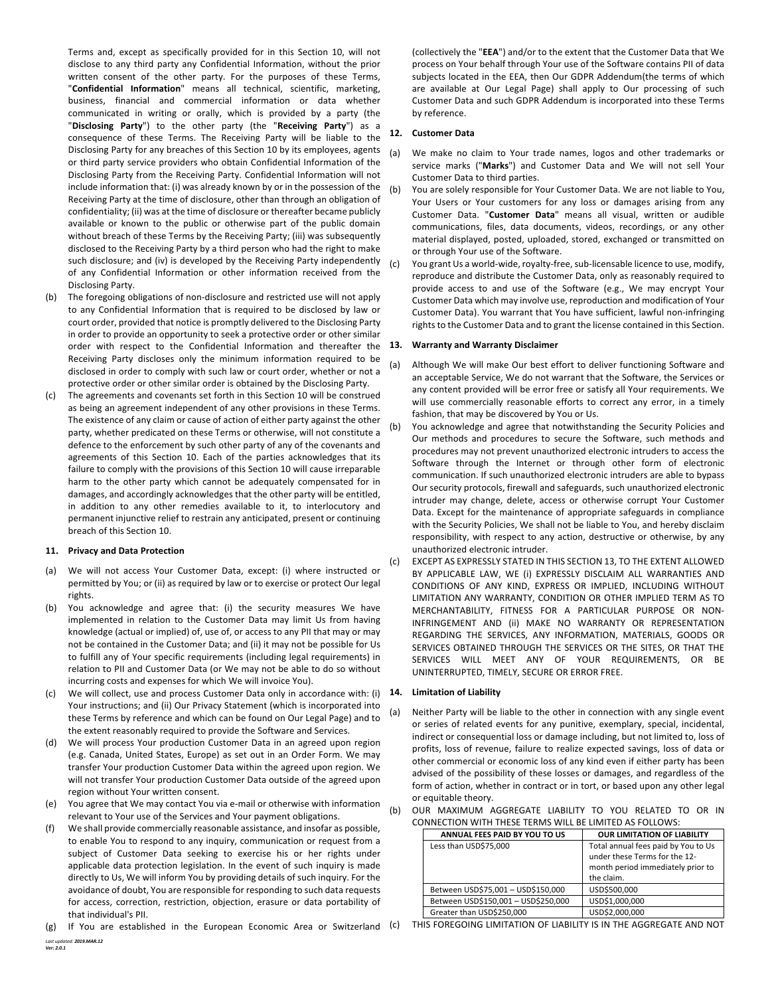Terms and, except as specifically provided for in this Section 10, will not disclose to any third party any Confidential Information, without the prior written consent of the other party. For the purposes of these Terms, "**Confidential Information**" means all technical, scientific, marketing, business, financial and commercial information or data whether communicated in writing or orally, which is provided by a party (the "**Disclosing Party**") to the other party (the "**Receiving Party**") as a consequence of these Terms. The Receiving Party will be liable to the Disclosing Party for any breaches of this Section 10 by its employees, agents or third party service providers who obtain Confidential Information of the Disclosing Party from the Receiving Party. Confidential Information will not include information that: (i) was already known by or in the possession of the Receiving Party at the time of disclosure, other than through an obligation of confidentiality; (ii) was at the time of disclosure or thereafter became publicly available or known to the public or otherwise part of the public domain without breach of these Terms by the Receiving Party; (iii) was subsequently disclosed to the Receiving Party by a third person who had the right to make such disclosure; and (iv) is developed by the Receiving Party independently of any Confidential Information or other information received from the Disclosing Party.

- (b) The foregoing obligations of non-disclosure and restricted use will not apply to any Confidential Information that is required to be disclosed by law or court order, provided that notice is promptly delivered to the Disclosing Party in order to provide an opportunity to seek a protective order or other similar order with respect to the Confidential Information and thereafter the 13. Receiving Party discloses only the minimum information required to be disclosed in order to comply with such law or court order, whether or not a protective order or other similar order is obtained by the Disclosing Party.
- (c) The agreements and covenants set forth in this Section 10 will be construed as being an agreement independent of any other provisions in these Terms. The existence of any claim or cause of action of either party against the other party, whether predicated on these Terms or otherwise, will not constitute a defence to the enforcement by such other party of any of the covenants and agreements of this Section 10. Each of the parties acknowledges that its failure to comply with the provisions of this Section 10 will cause irreparable harm to the other party which cannot be adequately compensated for in damages, and accordingly acknowledges that the other party will be entitled, in addition to any other remedies available to it, to interlocutory and permanent injunctive relief to restrain any anticipated, present or continuing breach of this Section 10.

# **11. Privacy and Data Protection**

- (a) We will not access Your Customer Data, except: (i) where instructed or permitted by You; or (ii) as required by law or to exercise or protect Our legal rights.
- (b) You acknowledge and agree that: (i) the security measures We have implemented in relation to the Customer Data may limit Us from having knowledge (actual or implied) of, use of, or access to any PII that may or may not be contained in the Customer Data; and (ii) it may not be possible for Us to fulfill any of Your specific requirements (including legal requirements) in relation to PII and Customer Data (or We may not be able to do so without incurring costs and expenses for which We will invoice You).
- (c) We will collect, use and process Customer Data only in accordance with: (i) Your instructions; and (ii) Our Privacy Statement (which is incorporated into these Terms by reference and which can be found on Our Legal Page) and to the extent reasonably required to provide the Software and Services.
- (d) We will process Your production Customer Data in an agreed upon region (e.g. Canada, United States, Europe) as set out in an Order Form. We may transfer Your production Customer Data within the agreed upon region. We will not transfer Your production Customer Data outside of the agreed upon region without Your written consent.
- (e) You agree that We may contact You via e-mail or otherwise with information relevant to Your use of the Services and Your payment obligations.
- (f) We shall provide commercially reasonable assistance, and insofar as possible, to enable You to respond to any inquiry, communication or request from a subject of Customer Data seeking to exercise his or her rights under applicable data protection legislation. In the event of such inquiry is made directly to Us, We will inform You by providing details of such inquiry. For the avoidance of doubt, You are responsible for responding to such data requests for access, correction, restriction, objection, erasure or data portability of that individual's PII.
- *Last updated: 2019.MAR.12* (g) If You are established in the European Economic Area or Switzerland (c)

(collectively the "**EEA**") and/or to the extent that the Customer Data that We process on Your behalf through Your use of the Software contains PII of data subjects located in the EEA, then Our GDPR Addendum(the terms of which are available at Our Legal Page) shall apply to Our processing of such Customer Data and such GDPR Addendum is incorporated into these Terms by reference.

## **12. Customer Data**

- (a) We make no claim to Your trade names, logos and other trademarks or service marks ("**Marks**") and Customer Data and We will not sell Your Customer Data to third parties.
- (b) You are solely responsible for Your Customer Data. We are not liable to You, Your Users or Your customers for any loss or damages arising from any Customer Data. "**Customer Data**" means all visual, written or audible communications, files, data documents, videos, recordings, or any other material displayed, posted, uploaded, stored, exchanged or transmitted on or through Your use of the Software.
- (c) You grant Us a world-wide, royalty-free, sub-licensable licence to use, modify, reproduce and distribute the Customer Data, only as reasonably required to provide access to and use of the Software (e.g., We may encrypt Your Customer Data which may involve use, reproduction and modification of Your Customer Data). You warrant that You have sufficient, lawful non-infringing rights to the Customer Data and to grant the license contained in this Section.

## **13. Warranty and Warranty Disclaimer**

- (a) Although We will make Our best effort to deliver functioning Software and an acceptable Service, We do not warrant that the Software, the Services or any content provided will be error free or satisfy all Your requirements. We will use commercially reasonable efforts to correct any error, in a timely fashion, that may be discovered by You or Us.
- (b) You acknowledge and agree that notwithstanding the Security Policies and Our methods and procedures to secure the Software, such methods and procedures may not prevent unauthorized electronic intruders to access the Software through the Internet or through other form of electronic communication. If such unauthorized electronic intruders are able to bypass Our security protocols, firewall and safeguards, such unauthorized electronic intruder may change, delete, access or otherwise corrupt Your Customer Data. Except for the maintenance of appropriate safeguards in compliance with the Security Policies, We shall not be liable to You, and hereby disclaim responsibility, with respect to any action, destructive or otherwise, by any unauthorized electronic intruder.
- (c) EXCEPT AS EXPRESSLY STATED IN THIS SECTION 13, TO THE EXTENT ALLOWED BY APPLICABLE LAW, WE (i) EXPRESSLY DISCLAIM ALL WARRANTIES AND CONDITIONS OF ANY KIND, EXPRESS OR IMPLIED, INCLUDING WITHOUT LIMITATION ANY WARRANTY, CONDITION OR OTHER IMPLIED TERM AS TO MERCHANTABILITY, FITNESS FOR A PARTICULAR PURPOSE OR NON-INFRINGEMENT AND (ii) MAKE NO WARRANTY OR REPRESENTATION REGARDING THE SERVICES, ANY INFORMATION, MATERIALS, GOODS OR SERVICES OBTAINED THROUGH THE SERVICES OR THE SITES, OR THAT THE SERVICES WILL MEET ANY OF YOUR REQUIREMENTS, OR BE UNINTERRUPTED, TIMELY, SECURE OR ERROR FREE.

## **14. Limitation of Liability**

(a) Neither Party will be liable to the other in connection with any single event or series of related events for any punitive, exemplary, special, incidental, indirect or consequential loss or damage including, but not limited to, loss of profits, loss of revenue, failure to realize expected savings, loss of data or other commercial or economic loss of any kind even if either party has been advised of the possibility of these losses or damages, and regardless of the form of action, whether in contract or in tort, or based upon any other legal or equitable theory.

| ONNECTION WITH THESE TERNIS WILL BE LIMITED AS FOLLOWS. |                                     |                                                                                                                         |
|---------------------------------------------------------|-------------------------------------|-------------------------------------------------------------------------------------------------------------------------|
|                                                         | ANNUAL FEES PAID BY YOU TO US       | <b>OUR LIMITATION OF LIABILITY</b>                                                                                      |
|                                                         | Less than USD\$75,000               | Total annual fees paid by You to Us<br>under these Terms for the 12-<br>month period immediately prior to<br>the claim. |
|                                                         | Between USD\$75,001 - USD\$150,000  | USD\$500,000                                                                                                            |
|                                                         | Between USD\$150,001 - USD\$250,000 | USD\$1,000,000                                                                                                          |
|                                                         | Greater than USD\$250,000           | USD\$2,000,000                                                                                                          |

(b) OUR MAXIMUM AGGREGATE LIABILITY TO YOU RELATED TO OR IN CONNECTION WITH THESE TERMS WILL BE LIMITED AS FOLLOWS:

(c) THIS FOREGOING LIMITATION OF LIABILITY IS IN THE AGGREGATE AND NOT

*Ver: 2.0.1*